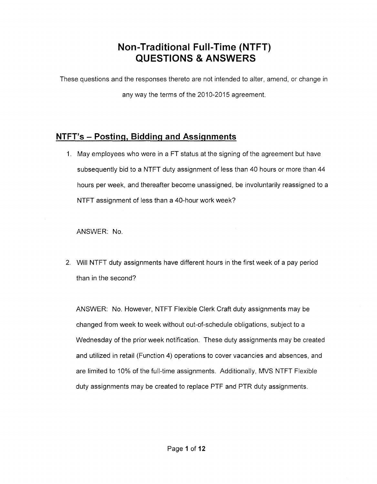# **Non-Traditional Full-Time (NTFT) QUESTIONS &ANSWERS**

These questions and the responses thereto are not intended to alter, amend, or change in

any way the terms of the 2010-2015 agreement.

## **NTFT's - Posting, Bidding and Assignments**

1. May employees who were in a FT status at the signing of the agreement but have subsequently bid to a NTFT duty assignment of less than 40 hours or more than 44 hours per week, and thereafter become unassigned, be involuntarily reassigned to a NTFT assignment of less than a 40-hour work week?

ANSWER: No.

2. Will NTFT duty assignments have different hours in the first week of a pay period than in the second?

ANSWER: No. However, NTFT Flexible Clerk Craft duty assignments may be changed from week to week without out-of-schedule obligations, subject to a Wednesday of the prior week notification. These duty assignments may be created and utilized in retail (Function 4) operations to cover vacancies and absences, and are limited to 10% of the full-time assignments. Additionally, MVS NTFT Flexible duty assignments may be created to replace PTF and PTR duty assignments.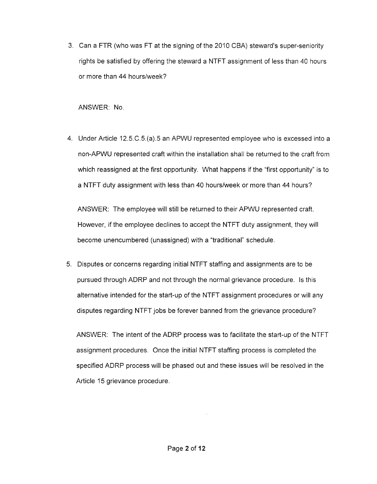3. Can a FTR (who was FT at the signing of the 2010 CSA) steward's super-seniority rights be satisfied by offering the steward a NTFT assignment of less than 40 hours or more than 44 hours/week?

ANSWER: No.

4. Under Article 12.5.C.5.(a).5 an APWU represented employee who is excessed into a non-APWU represented craft within the installation shall be returned to the craft from which reassigned at the first opportunity. What happens if the "first opportunity" is to a NTFT duty assignment with less than 40 hours/week or more than 44 hours?

ANSWER: The employee will still be returned to their APWU represented craft. However, if the employee declines to accept the NTFT duty assignment, they will become unencumbered (unassigned) with a "traditional" schedule.

5. Disputes or concerns regarding initial NTFT staffing and assignments are to be pursued through ADRP and not through the normal grievance procedure. Is this alternative intended for the start-up of the NTFT assignment procedures or will any disputes regarding NTFT jobs be forever banned from the grievance procedure?

ANSWER: The intent of the ADRP process was to facilitate the start-up of the NTFT assignment procedures. Once the initial NTFT staffing process is completed the specified ADRP process will be phased out and these issues will be resolved in the Article 15 grievance procedure.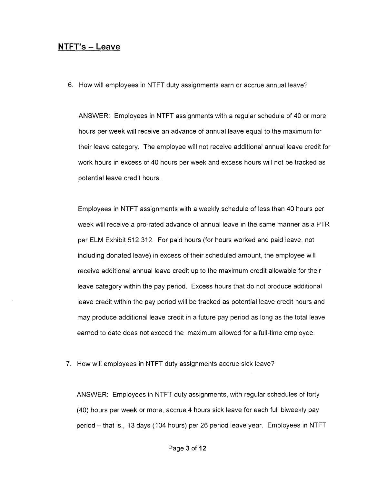#### **NTFT's - Leave**

6. How will employees in NTFT duty assignments earn or accrue annual leave?

ANSWER: Employees in NTFT assignments with a regular schedule of 40 or more hours per week will receive an advance of annual leave equal to the maximum for their leave category. The employee will not receive additional annual leave credit for work hours in excess of 40 hours per week and excess hours will not be tracked as potential leave credit hours.

Employees in NTFT assignments with a weekly schedule of less than 40 hours per week will receive a pro-rated advance of annual leave in the same manner as a PTR per ELM Exhibit 512.312. For paid hours (for hours worked and paid leave, not including donated leave) in excess of their scheduled amount, the employee will receive additional annual leave credit up to the maximum credit allowable for their leave category within the pay period. Excess hours that do not produce additional leave credit within the pay period will be tracked as potential leave credit hours and may produce additional leave credit in a future pay period as long as the total leave earned to date does not exceed the maximum allowed for a full-time employee.

7. How will employees in NTFT duty assignments accrue sick leave?

ANSWER: Employees in NTFT duty assignments, with regular schedules of forty (40) hours per week or more, accrue 4 hours sick leave for each full biweekly pay period - that is., 13 days (104 hours) per 26 period leave year. Employees in NTFT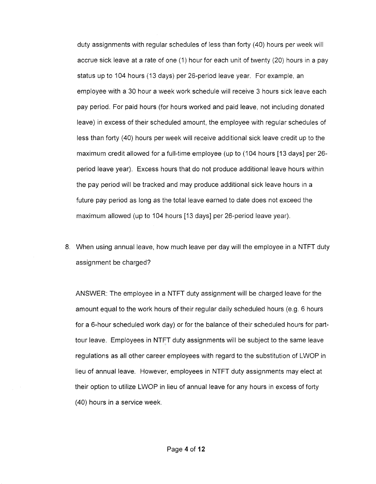duty assignments with regular schedules of less than forty (40) hours per week will accrue sick leave at a rate of one (1) hour for each unit of twenty (20) hours in a pay status up to 104 hours (13 days) per 26-period leave year. For example, an employee with a 30 hour a week work schedule will receive 3 hours sick leave each pay period. For paid hours (for hours worked and paid leave, not including donated leave) in excess of their scheduled amount, the employee with regular schedules of less than forty (40) hours per week will receive additional sick leave credit up to the maximum credit allowed for a full-time employee (up to (104 hours [13 days] per 26 period leave year). Excess hours that do not produce additional leave hours within the pay period will be tracked and may produce additional sick leave hours in a future pay period as long as the total leave earned to date does not exceed the maximum allowed (up to 104 hours [13 days] per 26-period leave year).

8. When using annual leave, how much leave per day will the employee in a NTFT duty assignment be charged?

ANSWER: The employee in a NTFT duty assignment will be charged leave for the amount equal to the work hours of their regular daily scheduled hours (e.g. 6 hours for a 6-hour scheduled work day) or for the balance of their scheduled hours for parttour leave. Employees in NTFT duty assignments will be subject to the same leave regulations as all other career employees with regard to the substitution of LWOP in lieu of annual leave. However, employees in NTFT duty assignments may elect at their option to utilize LWOP in lieu of annual leave for any hours in excess of forty (40) hours in a service week.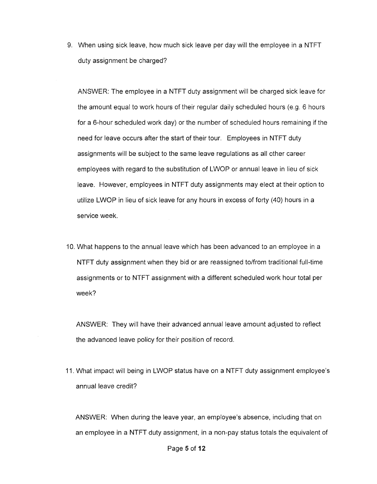9. When using sick leave, how much sick leave per day will the employee in a NTFT duty assignment be charged?

ANSWER: The employee in a NTFT duty assignment will be charged sick leave for the amount equal to work hours of their regular daily scheduled hours (e.g. 6 hours for a 6-hour scheduled work day) or the number of scheduled hours remaining if the need for leave occurs after the start of their tour. Employees in NTFT duty assignments will be subject to the same leave regulations as all other career employees with regard to the substitution of LWOP or annual leave in lieu of sick leave. However, employees in NTFT duty assignments may elect at their option to utilize LWOP in lieu of sick leave for any hours in excess of forty (40) hours in a service week.

10. What happens to the annual leave which has been advanced to an employee in a NTFT duty assignment when they bid or are reassigned to/from traditional full-time assignments or to NTFT assignment with a different scheduled work hour total per week?

ANSWER: They will have their advanced annual leave amount adjusted to reflect the advanced leave policy for their position of record.

11. What impact will being in LWOP status have on a NTFT duty assignment employee's annual leave credit?

ANSWER: When during the leave year, an employee's absence, including that on an employee in a NTFT duty assignment, in a non-pay status totals the equivalent of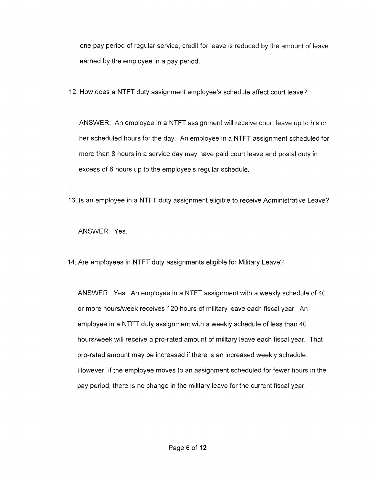one pay period of regular service, credit for leave is reduced by the amount of leave earned by the employee in a pay period.

12. How does a **NTFT** duty assignment employee's schedule affect court leave?

ANSWER: An employee in a **NTFT** assignment will receive court leave up to his or her scheduled hours for the day. An employee in a **NTFT** assignment scheduled for more than 8 hours in a service day may have paid court leave and postal duty in excess of 8 hours up to the employee's regular schedule.

13. Is an employee in a **NTFT** duty assignment eligible to receive Administrative Leave?

ANSWER: Yes.

14. Are employees in **NTFT** duty assignments eligible for Military Leave?

ANSWER: Yes. An employee in a **NTFT** assignment with a weekly schedule of 40 or more hours/week receives 120 hours of military leave each fiscal year. An employee in a **NTFT** duty assignment with a weekly schedule of less than 40 hours/week will receive a pro-rated amount of military leave each fiscal year. That pro-rated amount may be increased if there is an increased weekly schedule. However, if the employee moves to an assignment scheduled for fewer hours in the pay period, there is no change in the military leave for the current fiscal year.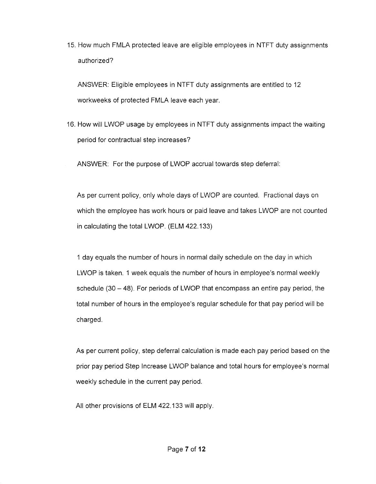15. How much FMLA protected leave are eligible employees in NTFT duty assignments authorized?

ANSWER: Eligible employees in NTFT duty assignments are entitled to 12 workweeks of protected FMLA leave each year.

16. How will LWOP usage by employees in NTFT duty assignments impact the waiting period for contractual step increases?

ANSWER: For the purpose of LWOP accrual towards step deferral:

As per current policy, only whole days of LWOP are counted. Fractional days on which the employee has work hours or paid leave and takes LWOP are not counted in calculating the total LWOP. (ELM 422.133)

1 day equals the number of hours in normal daily schedule on the day in which LWOP is taken. 1 week equals the number of hours in employee's normal weekly schedule (30 - 48). For periods of LWOP that encompass an entire pay period, the total number of hours in the employee's regular schedule for that pay period will be charged.

As per current policy, step deferral calculation is made each pay period based on the prior pay period Step Increase LWOP balance and total hours for employee's normal weekly schedule in the current pay period.

All other provisions of ELM 422.133 will apply.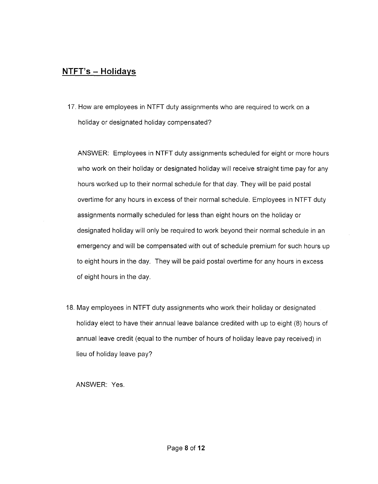### **NTFT's - Holidays**

17. How are employees in NTFT duty assignments who are required to work on a holiday or designated holiday compensated?

ANSWER: Employees in NTFT duty assignments scheduled for eight or more hours who work on their holiday or designated holiday will receive straight time pay for any hours worked up to their normal schedule for that day. They will be paid postal overtime for any hours in excess of their normal schedule. Employees in NTFT duty assignments normally scheduled for less than eight hours on the holiday or designated holiday will only be required to work beyond their normal schedule in an emergency and will be compensated with out of schedule premium for such hours up to eight hours in the day. They will be paid postal overtime for any hours in excess of eight hours in the day.

18. May employees in NTFT duty assignments who work their holiday or designated holiday elect to have their annual leave balance credited with up to eight (8) hours of annual leave credit (equal to the number of hours of holiday leave pay received) in lieu of holiday leave pay?

ANSWER: Yes.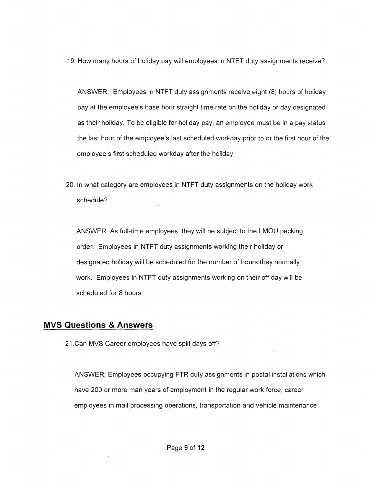19. How many hours of holiday pay will employees in NTFT duty assignments receive?

ANSWER: Employees in NTFT duty assignments receive eight (8) hours of holiday pay at the employee's base hour straight time rate on the holiday or day designated as their holiday. To be eligible for holiday pay, an employee must be in a pay status the last hour of the employee's last scheduled workday prior to or the first hour of the employee's first scheduled workday after the holiday.

20. In what category are employees in NTFT duty assignments on the holiday work schedule?

ANSWER: As full-time employees, they will be subject to the LMOU pecking order. Employees in NTFT duty assignments working their holiday or designated holiday will be scheduled for the number of hours they normally work. Employees in NTFT duty assignments working on their off day will be scheduled for 8 hours.

#### **MVS Questions & Answers**

21.Can MVS Career employees have split days off?

ANSWER: Employees occupying FTR duty assignments in postal installations which have 200 or more man years of employment in the regular work force, career employees in mail processing operations, transportation and vehicle maintenance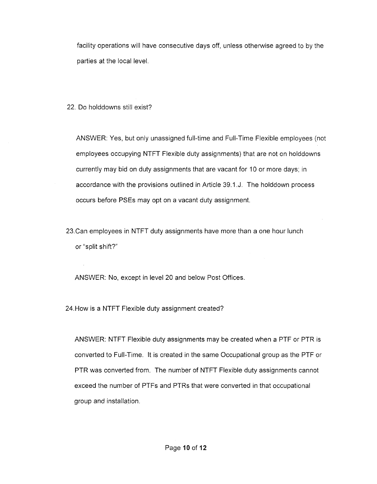facility operations will have consecutive days off, unless otherwise agreed to by the parties at the local level.

22. Do holddowns still exist?

ANSWER: Yes, but only unassigned full-time and Full-Time Flexible employees (not employees occupying NTFT Flexible duty assignments) that are not on holddowns currently may bid on duty assignments that are vacant for 10 or more days; in accordance with the provisions outlined in Article 39.1.J. The holddown process occurs before PSEs may opt on a vacant duty assignment.

23.Can employees in NTFT duty assignments have more than a one hour lunch or "split shift?"

ANSWER: No, except in level 20 and below Post Offices.

24.How is a NTFT Flexible duty assignment created?

ANSWER: NTFT Flexible duty assignments may be created when a PTF or PTR is converted to Full-Time. It is created in the same Occupational group as the PTF or PTR was converted from. The number of NTFT Flexible duty assignments cannot exceed the number of PTFs and PTRs that were converted in that occupational group and installation.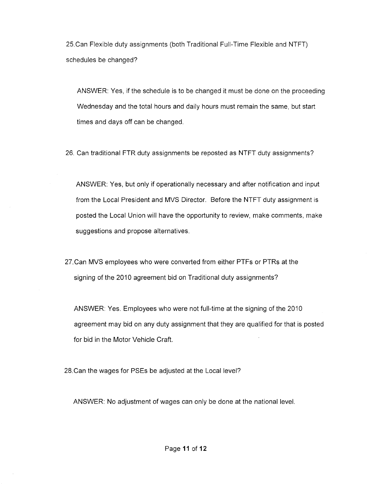25.Can Flexible duty assignments (both Traditional Full-Time Flexible and NTFT) schedules be changed?

ANSWER: Yes, if the schedule is to be changed it must be done on the proceeding Wednesday and the total hours and daily hours must remain the same, but start times and days off can be changed.

26. Can traditional FTR duty assignments be reposted as NTFT duty assignments?

ANSWER: Yes, but only if operationally necessary and after notification and input from the Local President and MVS Director. Before the NTFT duty assignment is posted the Local Union will have the opportunity to review, make comments, make suggestions and propose alternatives.

27.Can MVS employees who were converted from either PTFs or PTRs at the signing of the 2010 agreement bid on Traditional duty assignments?

ANSWER: Yes. Employees who were not full-time at the signing of the 2010 agreement may bid on any duty assignment that they are qualified for that is posted for bid in the Motor Vehicle Craft.

28. Can the wages for PSEs be adjusted at the Local level?

ANSWER: No adjustment of wages can only be done at the national level.